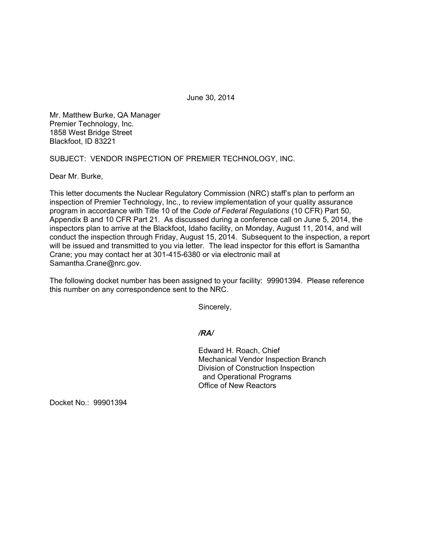June 30, 2014

Mr. Matthew Burke, QA Manager Premier Technology, Inc. 1858 West Bridge Street Blackfoot, ID 83221

SUBJECT: VENDOR INSPECTION OF PREMIER TECHNOLOGY, INC.

Dear Mr. Burke,

This letter documents the Nuclear Regulatory Commission (NRC) staff's plan to perform an inspection of Premier Technology, Inc., to review implementation of your quality assurance program in accordance with Title 10 of the *Code of Federal Regulations* (10 CFR) Part 50, Appendix B and 10 CFR Part 21. As discussed during a conference call on June 5, 2014, the inspectors plan to arrive at the Blackfoot, Idaho facility, on Monday, August 11, 2014, and will conduct the inspection through Friday, August 15, 2014. Subsequent to the inspection, a report will be issued and transmitted to you via letter. The lead inspector for this effort is Samantha Crane; you may contact her at 301-415-6380 or via electronic mail at Samantha.Crane@nrc.gov.

The following docket number has been assigned to your facility: 99901394. Please reference this number on any correspondence sent to the NRC.

Sincerely,

## */RA/*

 Edward H. Roach, Chief Mechanical Vendor Inspection Branch Division of Construction Inspection and Operational Programs Office of New Reactors

Docket No.: 99901394